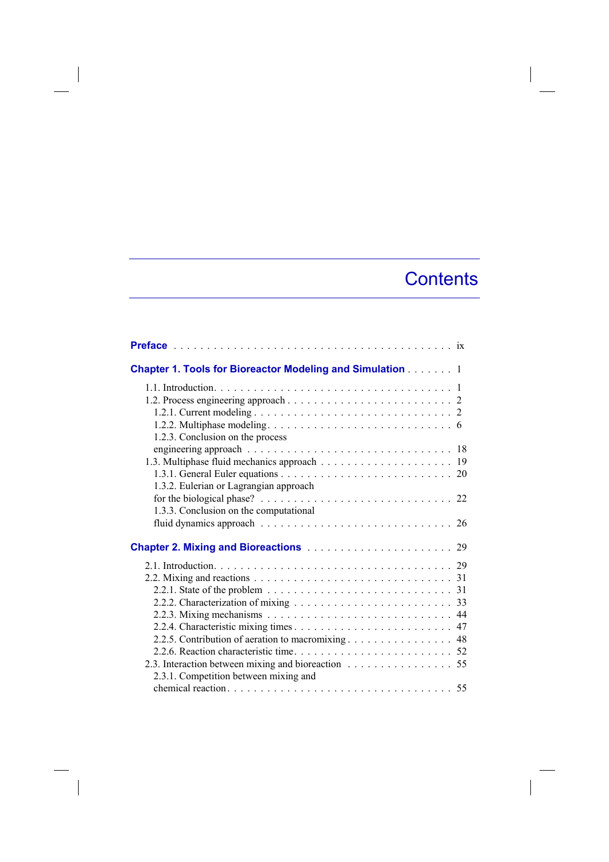## **Contents**

 $\overline{\phantom{a}}$ 

| <b>Chapter 1. Tools for Bioreactor Modeling and Simulation 1</b>                              |  |
|-----------------------------------------------------------------------------------------------|--|
|                                                                                               |  |
|                                                                                               |  |
|                                                                                               |  |
|                                                                                               |  |
| 1.2.3. Conclusion on the process                                                              |  |
|                                                                                               |  |
|                                                                                               |  |
|                                                                                               |  |
| 1.3.2. Eulerian or Lagrangian approach                                                        |  |
| for the biological phase? $\ldots \ldots \ldots \ldots \ldots \ldots \ldots \ldots \ldots 22$ |  |
| 1.3.3. Conclusion on the computational                                                        |  |
| 26                                                                                            |  |
|                                                                                               |  |
|                                                                                               |  |
|                                                                                               |  |
|                                                                                               |  |
|                                                                                               |  |
|                                                                                               |  |
|                                                                                               |  |
| 2.2.5. Contribution of aeration to macromixing 48                                             |  |
|                                                                                               |  |
| 2.3. Interaction between mixing and bioreaction 55                                            |  |
| 2.3.1. Competition between mixing and                                                         |  |
|                                                                                               |  |

 $\overline{\phantom{a}}$ 

 $\overline{\phantom{a}}$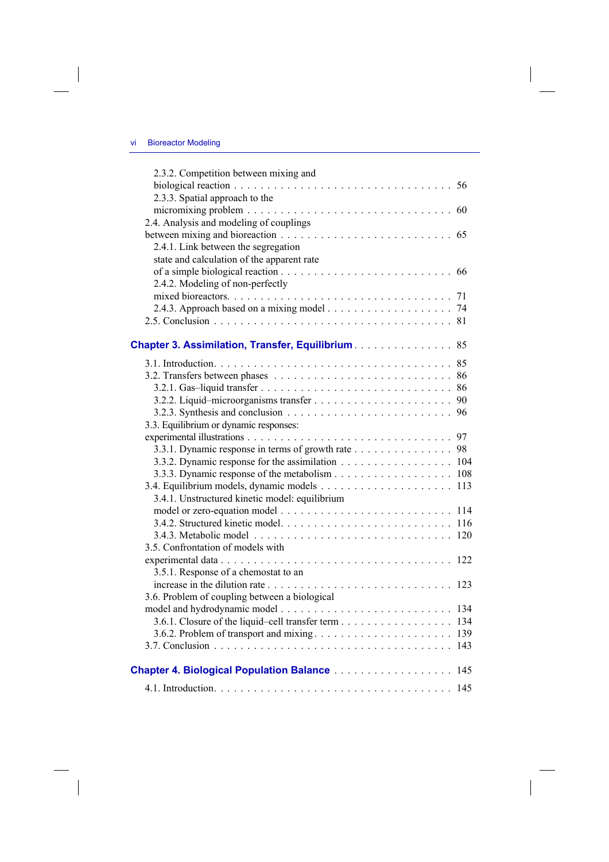$\overline{\phantom{a}}$ 

 $\begin{array}{c} \hline \end{array}$ 

| 2.3.2. Competition between mixing and                                                           |     |
|-------------------------------------------------------------------------------------------------|-----|
|                                                                                                 |     |
| 2.3.3. Spatial approach to the                                                                  |     |
|                                                                                                 |     |
| 2.4. Analysis and modeling of couplings                                                         |     |
|                                                                                                 |     |
| 2.4.1. Link between the segregation                                                             |     |
| state and calculation of the apparent rate                                                      |     |
|                                                                                                 |     |
| 2.4.2. Modeling of non-perfectly                                                                |     |
|                                                                                                 |     |
|                                                                                                 |     |
|                                                                                                 |     |
|                                                                                                 |     |
| Chapter 3. Assimilation, Transfer, Equilibrium 85                                               |     |
|                                                                                                 |     |
|                                                                                                 |     |
|                                                                                                 |     |
| 86                                                                                              |     |
|                                                                                                 |     |
| 3.2.3. Synthesis and conclusion $\ldots \ldots \ldots \ldots \ldots \ldots \ldots \ldots$<br>96 |     |
| 3.3. Equilibrium or dynamic responses:                                                          |     |
| 97                                                                                              |     |
| 3.3.1. Dynamic response in terms of growth rate<br>98                                           |     |
| 104                                                                                             |     |
| 108                                                                                             |     |
| 113                                                                                             |     |
| 3.4.1. Unstructured kinetic model: equilibrium                                                  |     |
|                                                                                                 |     |
|                                                                                                 | 116 |
|                                                                                                 |     |
| 3.5. Confrontation of models with                                                               |     |
| 122                                                                                             |     |
| 3.5.1. Response of a chemostat to an                                                            |     |
|                                                                                                 |     |
| 3.6. Problem of coupling between a biological                                                   |     |
|                                                                                                 |     |
| 3.6.1. Closure of the liquid-cell transfer term<br>134                                          |     |
|                                                                                                 |     |
| 143                                                                                             |     |
|                                                                                                 |     |
| Chapter 4. Biological Population Balance 145                                                    |     |
|                                                                                                 |     |

 $\Big\}$